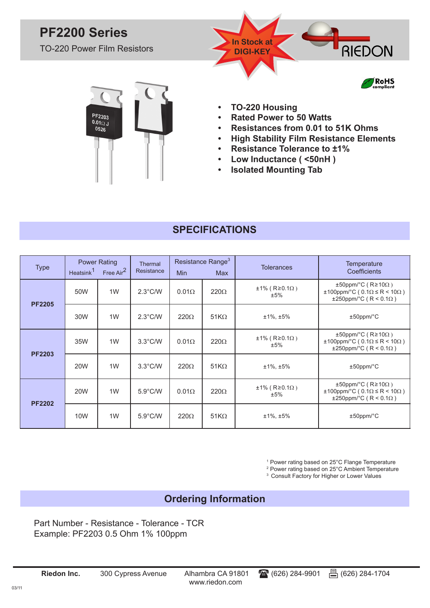## **PF2200 Series**

TO-220 Power Film Resistors

PF2203<br>0.0102 J<br>0526



- **• TO-220 Housing**
- **• Rated Power to 50 Watts**
- **• Resistances from 0.01 to 51K Ohms**
- **• High Stability Film Resistance Elements**
- **• Resistance Tolerance to ±1%**
- **• Low Inductance ( <50nH )**
- **• Isolated Mounting Tab**

## **SPECIFICATIONS**

| <b>Type</b>   | Heatsink <sup>1</sup> | <b>Power Rating</b><br>Free Air <sup>2</sup> | <b>Thermal</b><br>Resistance | <b>Min</b>   | Resistance Range <sup>3</sup><br>Max | <b>Tolerances</b>                      | Temperature<br>Coefficients                                                                                    |
|---------------|-----------------------|----------------------------------------------|------------------------------|--------------|--------------------------------------|----------------------------------------|----------------------------------------------------------------------------------------------------------------|
| <b>PF2205</b> | 50W                   | 1W                                           | $2.3^{\circ}$ C/W            | $0.01\Omega$ | $220\Omega$                          | $\pm$ 1% (R≥0.1 $\Omega$ )<br>$±5\%$   | $\pm 50$ ppm/°C (R≥10 $\Omega$ )<br>±100ppm/°C (0.1Ω ≤ R < 10Ω)<br>±250ppm/°C (R < 0.1Ω)                       |
|               | 30W                   | 1W                                           | $2.3^{\circ}$ C/W            | $220\Omega$  | $51K\Omega$                          | $±1\%$ , $±5\%$                        | $±50$ ppm/ $°C$                                                                                                |
| <b>PF2203</b> | 35W                   | 1W                                           | $3.3^{\circ}$ C/W            | $0.01\Omega$ | $220\Omega$                          | $\pm 1\%$ (R $\geq 0.1\Omega$ )<br>±5% | $\pm 50$ ppm/°C (R≥10 $\Omega$ )<br>$\pm 100$ ppm/°C (0.1 $\Omega \le R < 10\Omega$ )<br>±250ppm/°C (R < 0.1Ω) |
|               | 20W                   | 1W                                           | $3.3^{\circ}$ C/W            | $220\Omega$  | $51K\Omega$                          | $±1\%$ , $±5\%$                        | $±50$ ppm/ $°C$                                                                                                |
| <b>PF2202</b> | 20W                   | 1W                                           | $5.9^{\circ}$ C/W            | $0.01\Omega$ | $220\Omega$                          | $\pm$ 1% (R≥0.1 $\Omega$ )<br>±5%      | $\pm 50$ ppm/°C (R≥10 $\Omega$ )<br>$\pm 100$ ppm/°C (0.1 $\Omega \le R < 10\Omega$ )<br>±250ppm/°C (R < 0.1Ω) |
|               | 10W                   | 1W                                           | $5.9^{\circ}$ C/W            | $220\Omega$  | $51K\Omega$                          | $±1\%$ , $±5\%$                        | $±50$ ppm/ $°C$                                                                                                |

1 Power rating based on 25°C Flange Temperature

2 Power rating based on 25°C Ambient Temperature

<sup>3</sup> Consult Factory for Higher or Lower Values

### **Ordering Information**

Part Number - Resistance - Tolerance - TCR Example: PF2203 0.5 Ohm 1% 100ppm

**Riedon Inc.** 300 Cypress Avenue Alhambra CA 91801 (626) 284-9901 (526) 284-1704

www.riedon.com